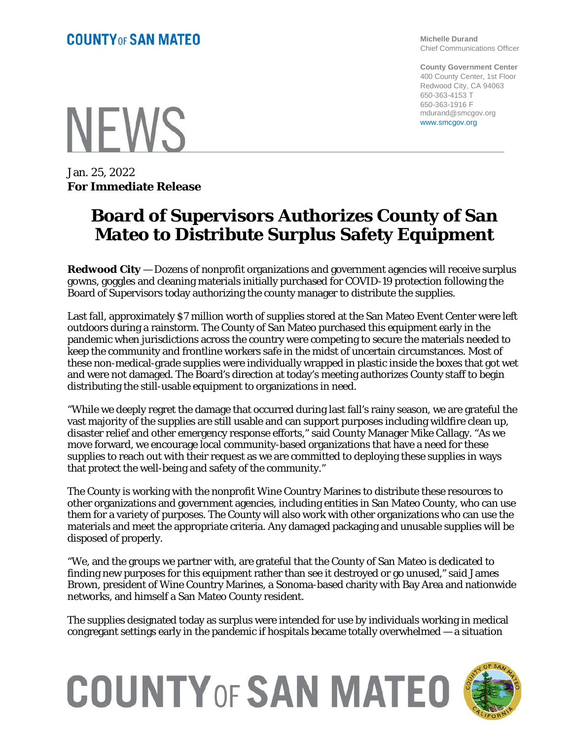**Michelle Durand** Chief Communications Officer

**County Government Center** 400 County Center, 1st Floor Redwood City, CA 94063 650-363-4153 T 650-363-1916 F mdurand@smcgov.org www.smcgov.org

**NFWS** 

Jan. 25, 2022 **For Immediate Release**

## **Board of Supervisors Authorizes County of San Mateo to Distribute Surplus Safety Equipment**

**Redwood City** — Dozens of nonprofit organizations and government agencies will receive surplus gowns, goggles and cleaning materials initially purchased for COVID-19 protection following the Board of Supervisors today authorizing the county manager to distribute the supplies.

Last fall, approximately \$7 million worth of supplies stored at the San Mateo Event Center were left outdoors during a rainstorm. The County of San Mateo purchased this equipment early in the pandemic when jurisdictions across the country were competing to secure the materials needed to keep the community and frontline workers safe in the midst of uncertain circumstances. Most of these non-medical-grade supplies were individually wrapped in plastic inside the boxes that got wet and were not damaged. The Board's direction at today's meeting authorizes County staff to begin distributing the still-usable equipment to organizations in need.

"While we deeply regret the damage that occurred during last fall's rainy season, we are grateful the vast majority of the supplies are still usable and can support purposes including wildfire clean up, disaster relief and other emergency response efforts," said County Manager Mike Callagy. "As we move forward, we encourage local community-based organizations that have a need for these supplies to reach out with their request as we are committed to deploying these supplies in ways that protect the well-being and safety of the community."

The County is working with the nonprofit Wine Country Marines to distribute these resources to other organizations and government agencies, including entities in San Mateo County, who can use them for a variety of purposes. The County will also work with other organizations who can use the materials and meet the appropriate criteria. Any damaged packaging and unusable supplies will be disposed of properly.

"We, and the groups we partner with, are grateful that the County of San Mateo is dedicated to finding new purposes for this equipment rather than see it destroyed or go unused," said James Brown, president of Wine Country Marines, a Sonoma-based charity with Bay Area and nationwide networks, and himself a San Mateo County resident.

The supplies designated today as surplus were intended for use by individuals working in medical congregant settings early in the pandemic if hospitals became totally overwhelmed — a situation

## **COUNTY OF SAN MATEO**